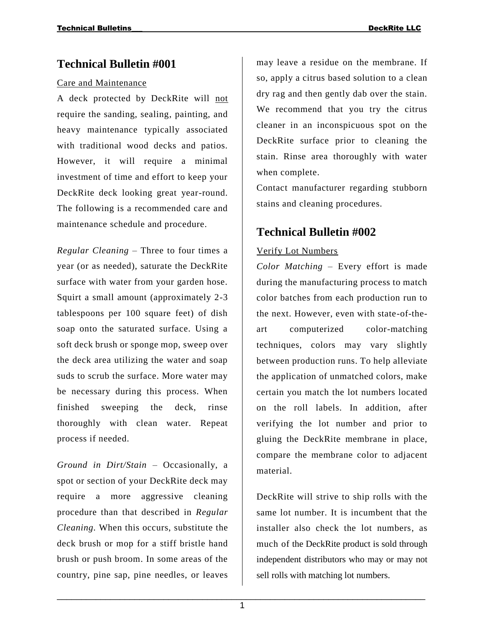### **Technical Bulletin #001**

#### Care and Maintenance

A deck protected by DeckRite will not require the sanding, sealing, painting, and heavy maintenance typically associated with traditional wood decks and patios. However, it will require a minimal investment of time and effort to keep your DeckRite deck looking great year-round. The following is a recommended care and maintenance schedule and procedure.

*Regular Cleaning* – Three to four times a year (or as needed), saturate the DeckRite surface with water from your garden hose. Squirt a small amount (approximately 2-3 tablespoons per 100 square feet) of dish soap onto the saturated surface. Using a soft deck brush or sponge mop, sweep over the deck area utilizing the water and soap suds to scrub the surface. More water may be necessary during this process. When finished sweeping the deck, rinse thoroughly with clean water. Repeat process if needed.

*Ground in Dirt/Stain* – Occasionally, a spot or section of your DeckRite deck may require a more aggressive cleaning procedure than that described in *Regular Cleaning.* When this occurs, substitute the deck brush or mop for a stiff bristle hand brush or push broom. In some areas of the country, pine sap, pine needles, or leaves

may leave a residue on the membrane. If so, apply a citrus based solution to a clean dry rag and then gently dab over the stain. We recommend that you try the citrus cleaner in an inconspicuous spot on the DeckRite surface prior to cleaning the stain. Rinse area thoroughly with water when complete.

Contact manufacturer regarding stubborn stains and cleaning procedures.

## **Technical Bulletin #002**

#### Verify Lot Numbers

*Color Matching* – Every effort is made during the manufacturing process to match color batches from each production run to the next. However, even with state-of-theart computerized color-matching techniques, colors may vary slightly between production runs. To help alleviate the application of unmatched colors, make certain you match the lot numbers located on the roll labels. In addition, after verifying the lot number and prior to gluing the DeckRite membrane in place, compare the membrane color to adjacent material.

DeckRite will strive to ship rolls with the same lot number. It is incumbent that the installer also check the lot numbers, as much of the DeckRite product is sold through independent distributors who may or may not sell rolls with matching lot numbers.